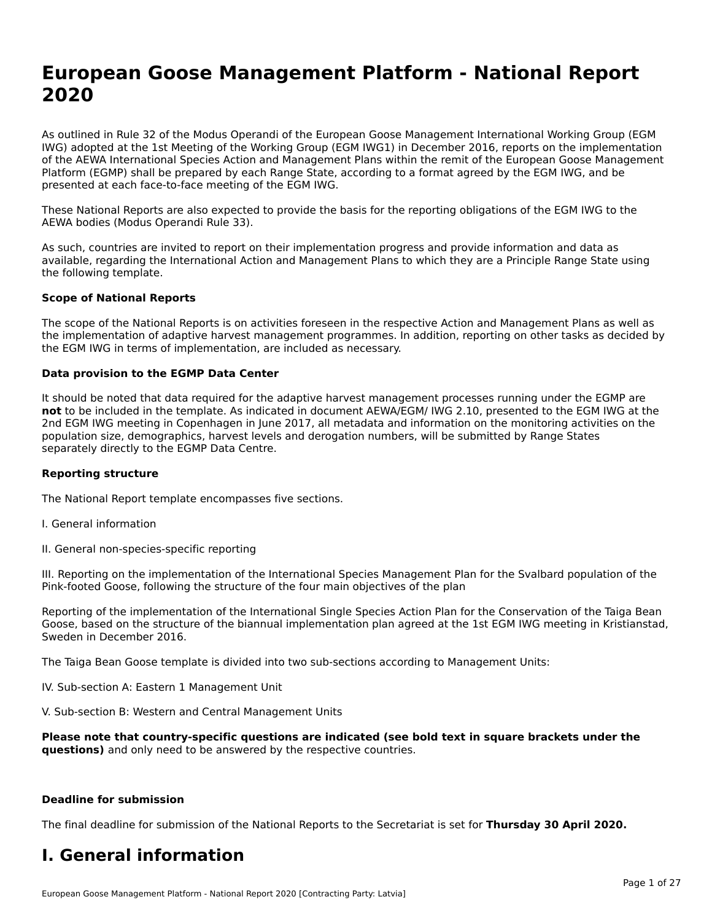# **European Goose Management Platform - National Report**European Goose Management Platform - National **Neport**<br>2020

As outlined in Rule 32 of the Modus Operandi of the European Goose Management International Working Group (EGM As buthled in Rule 32 of the Modus Operandi of the Lufopean Goose Management International Working Group (LGM<br>IWG) adopted at the 1st Meeting of the Working Group (EGM IWG1) in December 2016, reports on the implementation of the AEWA International Species Action and Management Plans within the remit of the European Goose Management Platform (EGMP) shall be prepared by each Range State, according to a format agreed by the EGM IWG, and be presented at each face-to-face meeting of the EGM IWG.

These National Reports are also expected to provide the basis for the reporting obligations of the EGM IWG to the AEWA bodies (Modus Operandi Rule 33).

As such, countries are invited to report on their implementation progress and provide information and data as<br>available, regarding the International Action and Management Plans to which they are a Principle Range State usi available, regarding the International Action and Management Plans to which they are a Principle Range State using the following template.

#### **Scope of National Reports**

The scope of the National Reports is on activities foreseen in the respective Action and Management Plans as well as The scope of the National Reports is on activities foreseen in the respective Action and Management Plans as well as<br>the implementation of adaptive harvest management programmes. In addition, reporting on other tasks as de the EGM IWG in terms of implementation, are included as necessary.

#### **Data provision to the EGMP Data Center**

It should be noted that data required for the adaptive harvest management processes running under the EGMP are **not** to be included in the template. As indicated in document AEWA/EGM/ IWG 2.10, presented to the EGM IWG at the 2nd EGM IWG meeting in Copenhagen in June 2017, all metadata and information on the monitoring activities on the population size, demographics, harvest levels and derogation numbers, will be submitted by Range States separately directly to the EGMP Data Centre.

#### **Reporting structure**

The National Report template encompasses five sections.

- I. General information
- II. General non-species-specific reporting

III. Reporting on the implementation of the International Species Management Plan for the Svalbard population of the

Reporting of the implementation of the International Single Species Action Plan for the Conservation of the Taiga Bean Reporting of the implementation of the international single species Action Fram for the conservation of the laiga beam<br>Goose, based on the structure of the biannual implementation plan agreed at the 1st EGM IWG meeting in

The Taiga Bean Goose template is divided into two sub-sections according to Management Units:

IV. Sub-section A: Eastern 1 Management Unit

V. Sub-section B: Western and Central Management Units

**Please note that country-specific questions are indicated (see bold text in square brackets under the questions)** and only need to be answered by the respective countries.

#### **Deadline for submission**

The final deadline for submission of the National Reports to the Secretariat is set for **Thursday 30 April 2020.**

#### **I. General information**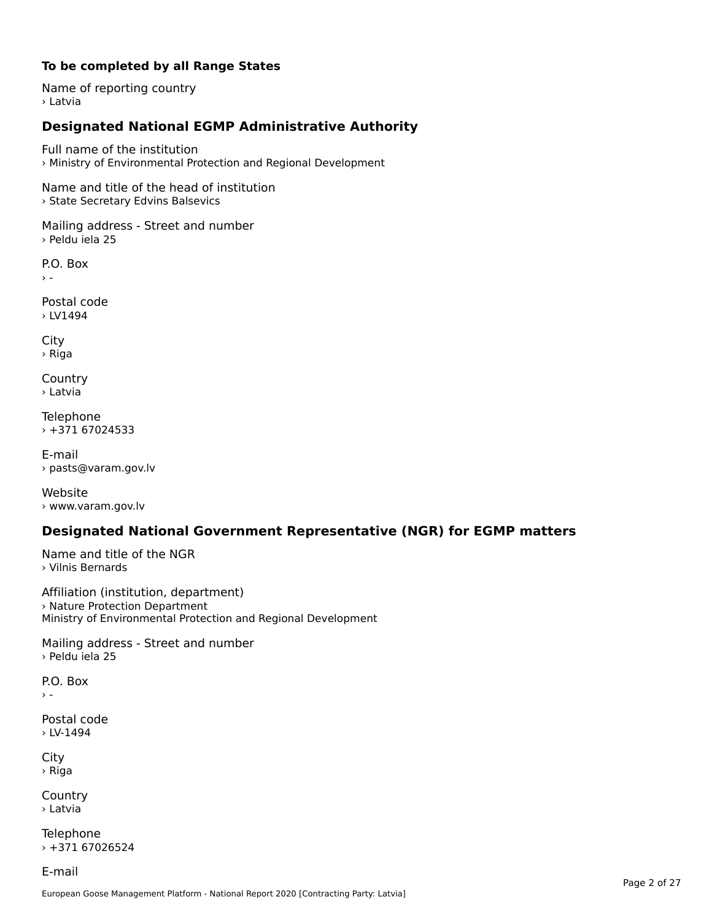#### **To be completed by all Range States**

Name of reporting country › Latvia

# **Designated National EGMP Administrative Authority**

Full name of the institution› Ministry of Environmental Protection and Regional Development

Name and title of the head of institution › State Secretary Edvins Balsevics

Mailing address - Street and number › Peldu iela 25

P.O. Box

Postal code› LV1494

City › Riga

**Country** › Latvia

Telephone › +371 67024533

E-mail› pasts@varam.gov.lv

Website › www.varam.gov.lv

## **Designated National Government Representative (NGR) for EGMP matters**

Name and title of the NGR › Vilnis Bernards

Affiliation (institution, department) Armideron (insertation, acpure<br>> Nature Protection Department Ministry of Environmental Protection and Regional Development

Mailing address - Street and number › Peldu iela 25

P.O. Box

 $\rightarrow$   $-$ 

Postal code › LV-1494

City › Riga

Country› Latvia

Telephone  $+37167026524$ 

E-mail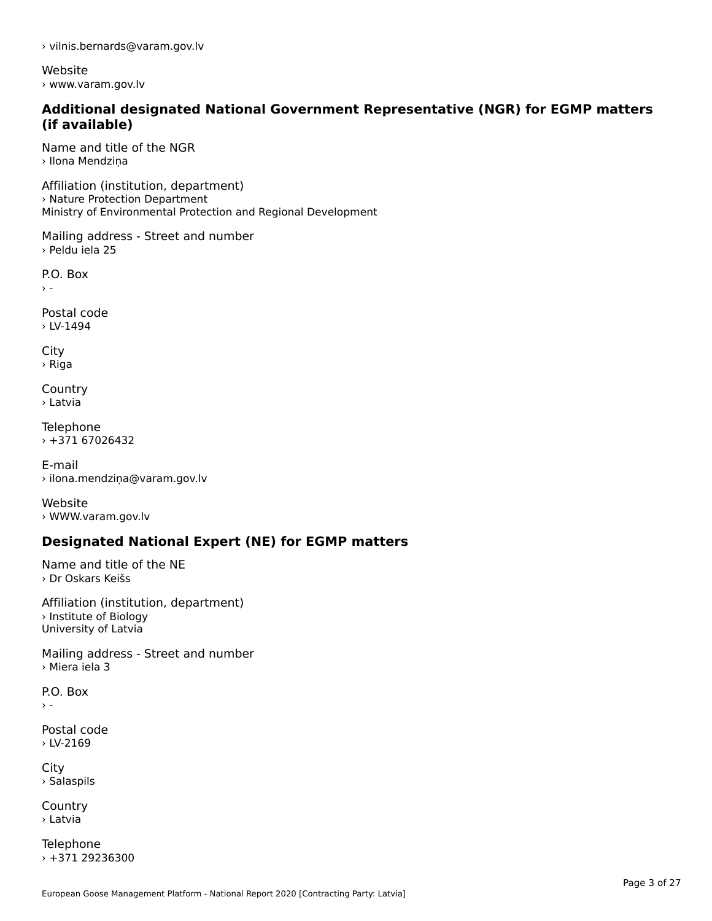› vilnis.bernards@varam.gov.lv

Website › www.varam.gov.lv

#### **Additional designated National Government Representative (NGR) for EGMP matters (if available)**

Name and title of the NGR› Ilona Mendziņa

Affiliation (institution, department) Armideori (institution, depart<br>› Nature Protection Department Ministry of Environmental Protection and Regional Development

Mailing address - Street and number › Peldu iela 25

P.O. Box  $\rightarrow$  -

Postal code› LV-1494

City › Riga

**Country** › Latvia

**Telephone**  $+37167026432$ 

E-mail› ilona.mendziņa@varam.gov.lv

Website› WWW.varam.gov.lv

# **Designated National Expert (NE) for EGMP matters**

Name and title of the NE › Dr Oskars Keišs

Affiliation (institution, department)› Institute of Biology University of Latvia

Mailing address - Street and number › Miera iela 3

P.O. Box $\rightarrow$   $-$ 

Postal code › LV-2169

City › Salaspils

**Country** › Latvia

Telephone  $+37129236300$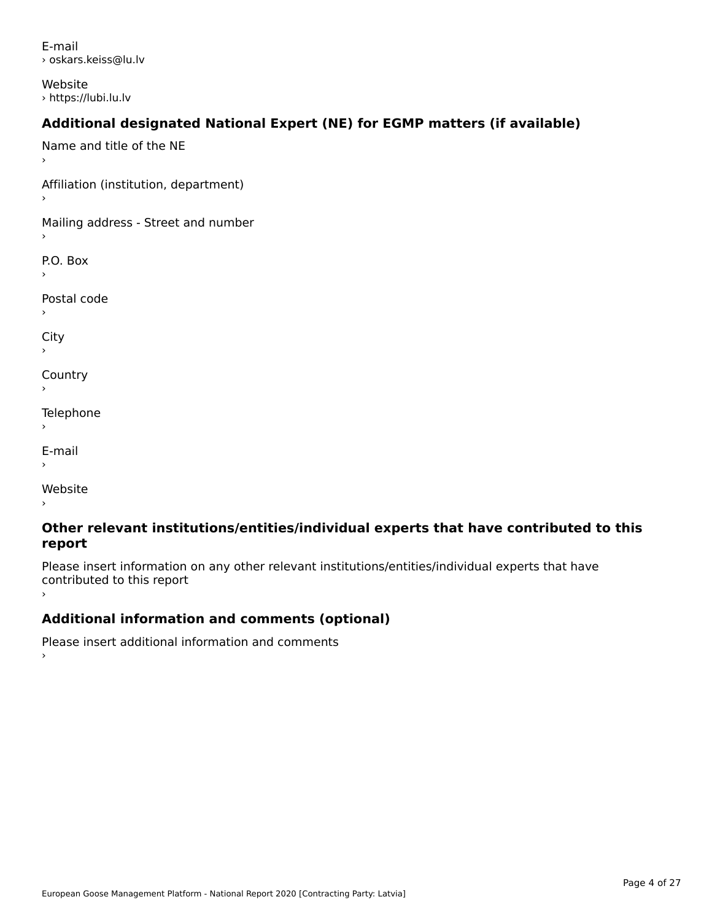E-mail› oskars.keiss@lu.lv

Website › https://lubi.lu.lv

# **Additional designated National Expert (NE) for EGMP matters (if available)**

Name and title of the NE›Affiliation (institution, department) Mailing address - Street and number P.O. Box Postal code›City **Country** Telephone E-mail›Website›

#### **Other relevant institutions/entities/individual experts that have contributed to this report**report

Please insert information on any other relevant institutions/entities/individual experts that have continuated to this report

# **Additional information and comments (optional)**

Please insert additional information and comments ›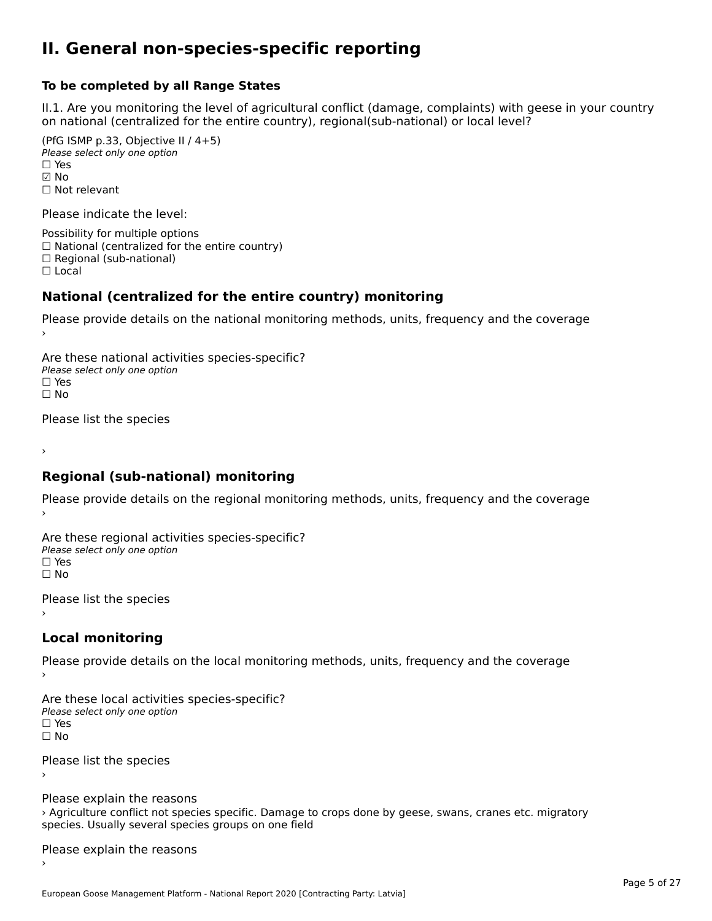#### **II. General non-species-specific reporting**

#### **To be completed by all Range States**

II.1. Are you monitoring the level of agricultural conflict (damage, complaints) with geese in your country n.i. Are you monitoring the lever or agricultural connict (damage, complaints) with g<br>on national (centralized for the entire country), regional(sub-national) or local level?

(PfG ISMP p.33, Objective II  $(4+5)$ ) ∪ is in p.55, objective<br>Please select only one option ☑ No☐ Not relevant

Please indicate the level:

Possibility for multiple options  $\Box$  National (centralized for the entire country)  $\Box$  Regional (sub-national)

☐ Local

#### **National (centralized for the entire country) monitoring**

Please provide details on the national monitoring methods, units, frequency and the coverage

Are these national activities species-specific? Please select only one optionPlease select only one option.<br>□ Yes ים וכ<br>⊡ No

Please list the species

›

#### **Regional (sub-national) monitoring**

Please provide details on the regional monitoring methods, units, frequency and the coverage

Are these regional activities species-specific? ∩ne these regional activ<br>Please select only one option □ Yes<br>□ No

Please list the species ›

#### **Local monitoring**

Please provide details on the local monitoring methods, units, frequency and the coverage

Are these local activities species-specific? Please select only one optionriease<br>□ Yes □ Yes<br>□ No

Please list the species ›

Please explain the reasons riedse explain the reasons<br>> Agriculture conflict not species specific. Damage to crops done by geese, swans, cranes etc. migratory species. Usually several species groups on one field

Please explain the reasons ›

European Goose Management Platform - National Report 2020 [Contracting Party: Latvia]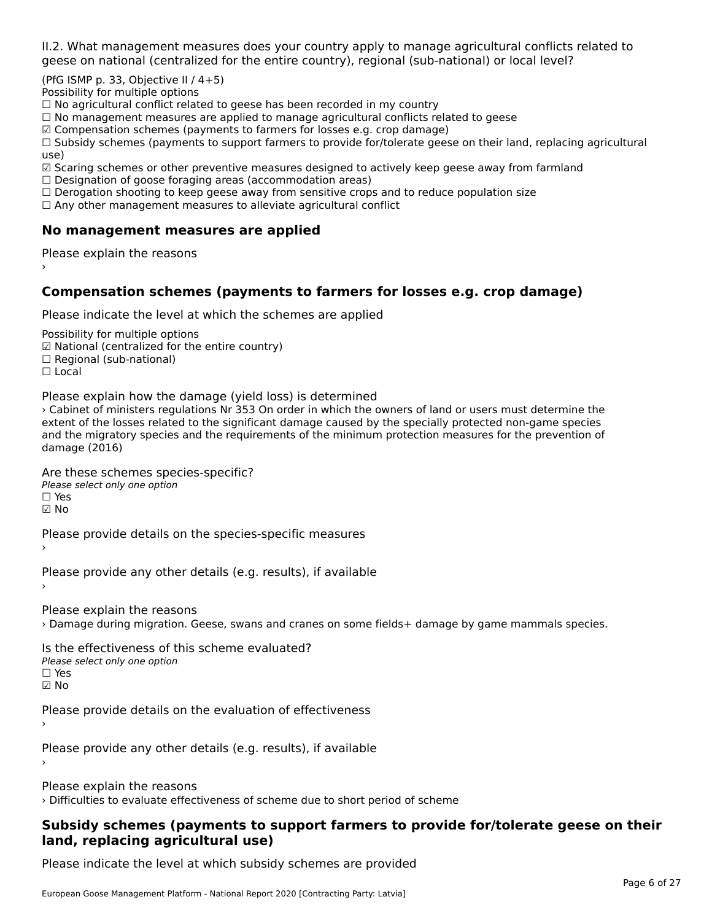II.2. What management measures does your country apply to manage agricultural conflicts related to

(PfG ISMP p. 33, Objective II  $/$  4+5)

Possibility for multiple options

™assibility for maltiple options<br>□ No agricultural conflict related to geese has been recorded in my country  $\Box$  No agricultural conflict related to geese has been recorded in high conflict  $r$ 

 $\Box$  No management measures are applied to manage agricultural commets relations to  $\Box$ 

 $\mathbb Z$  Compensation schemes (payments to farmers for losses e.g. crop damage)

ഇ compensation schemes (payments to farmers for losses e.g. crop damage)<br>□ Subsidy schemes (payments to support farmers to provide for/tolerate geese on their land, replacing agricultural use)

use,<br>☑ Scaring schemes or other preventive measures designed to actively keep geese away from farmland

⊠ Scaring scrientes of other preventive measures designed to a<br>□ Designation of goose foraging areas (accommodation areas)

□ Designation of goose foraging areas (accommodation areas)<br>□ Derogation shooting to keep geese away from sensitive crops and to reduce population size

 $\Box$  Any other management measures to alleviate agricultural conflict

### **No management measures are applied**

Please explain the reasons ›

### **Compensation schemes (payments to farmers for losses e.g. crop damage)**

Please indicate the level at which the schemes are applied

Possibility for multiple options rossibility for multiple options<br>☑ National (centralized for the entire country) ⊠ National (centranzed io<br>□ Regional (sub-national) ☐ Local

Please explain how the damage (yield loss) is determined

› Cabinet of ministers regulations Nr 353 On order in which the owners of land or users must determine the extent of the losses related to the significant damage caused by the specially protected non-game species extent of the losses related to the significant damage caused by the specially protected non-game species<br>and the migratory species and the requirements of the minimum protection measures for the prevention of damage (2016)

Are these schemes species-specific?

ric criese serientes spec<br>Please select only one option ☐ Yes☑ No

Please provide details on the species-specific measures

Please provide any other details (e.g. results), if available

Please explain the reasons › Damage during migration. Geese, swans and cranes on some fields+ damage by game mammals species.

Is the effectiveness of this scheme evaluated?Please select only one option ☐ Yes☑ No

Please provide details on the evaluation of effectiveness

Please provide any other details (e.g. results), if available

Please explain the reasons

› Difficulties to evaluate effectiveness of scheme due to short period of scheme

#### **Subsidy schemes (payments to support farmers to provide for/tolerate geese on their land, replacing agricultural use)**land, replacing agricultural use)

Please indicate the level at which subsidy schemes are provided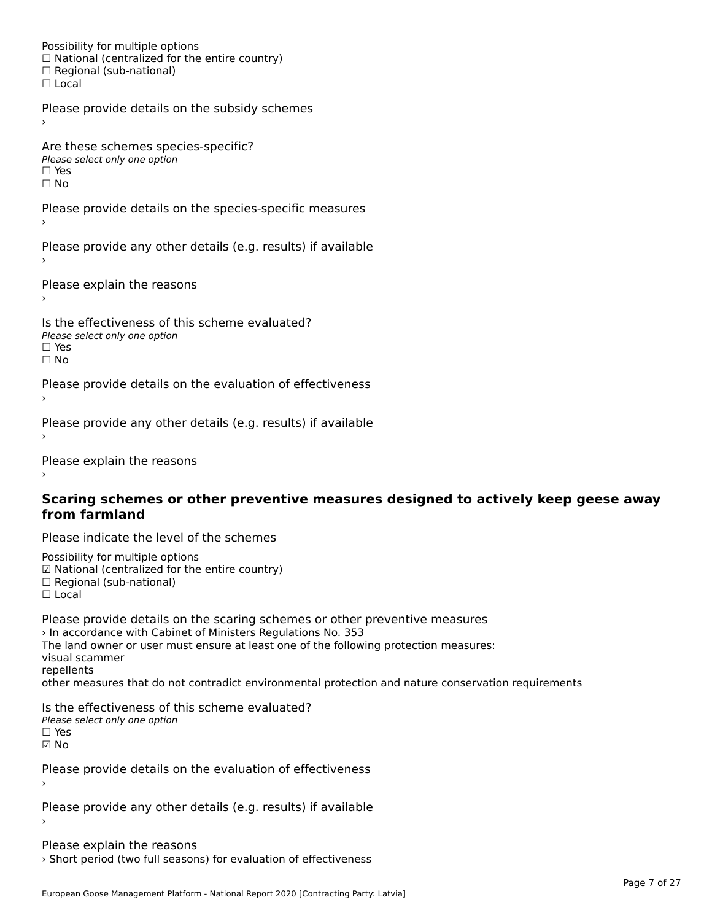Possibility for multiple options rossibility for multiple options<br>□ National (centralized for the entire country) □ National (centralized io<br>□ Regional (sub-national) ☐ Local

Please provide details on the subsidy schemes

Are these schemes species-specific?∩ne these senemes spee<br>Please select only one option □ Yes<br>□ No

Please provide details on the species-specific measures

Please provide any other details (e.g. results) if available

Please explain the reasons

Is the effectiveness of this scheme evaluated?□ CITC CITCCLIVERESS OF C<br>Please select only one option  $\square$  Yes ☐ No

Please provide details on the evaluation of effectiveness

Please provide any other details (e.g. results) if available

Please explain the reasons

#### **Scaring schemes or other preventive measures designed to actively keep geese away from farmland**

Please indicate the level of the schemes

Possibility for multiple options rossibility for multiple options<br>☑ National (centralized for the entire country) ⊠ National (centralized io<br>□ Regional (sub-national) ☐ Local

Please provide details on the scaring schemes or other preventive measures › In accordance with Cabinet of Ministers Regulations No. 353 The land owner or user must ensure at least one of the following protection measures: visual scammer repellentsrepenents<br>other measures that do not contradict environmental protection and nature conservation requirements

Is the effectiveness of this scheme evaluated? Please select only one option ☐ Yes☑ No

Please provide details on the evaluation of effectiveness

Please provide any other details (e.g. results) if available

Please explain the reasons › Short period (two full seasons) for evaluation of effectiveness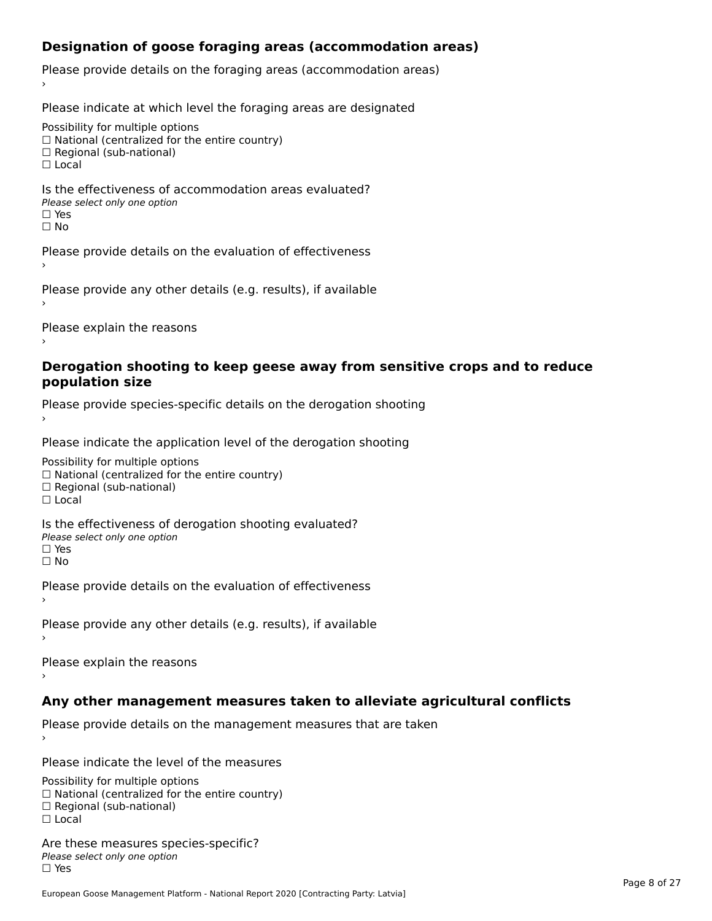## **Designation of goose foraging areas (accommodation areas)**

Please provide details on the foraging areas (accommodation areas)

Please indicate at which level the foraging areas are designated

Possibility for multiple options

rossibility for multiple options<br>□ National (centralized for the entire country)

□ National (centralized io<br>□ Regional (sub-national)

☐ Local

#### Is the effectiveness of accommodation areas evaluated?□ CILCCCCVCIC55 OF 0<br>Please select only one option □ Yes<br>□ No

Please provide details on the evaluation of effectiveness

Please provide any other details (e.g. results), if available

Please explain the reasons

#### **Derogation shooting to keep geese away from sensitive crops and to reduce population size**

Please provide species-specific details on the derogation shooting ›

Please indicate the application level of the derogation shooting

Possibility for multiple options

 $\Box$  National (centralized for the entire country)

 $\Box$  Regional (sub-national)

☐ Local

Is the effectiveness of derogation shooting evaluated?

□ CITC CITCCLIVENC55 OF 0<br>Please select only one option

□ Yes<br>□ No

Please provide details on the evaluation of effectiveness

Please provide any other details (e.g. results), if available

Please explain the reasons

### **Any other management measures taken to alleviate agricultural conflicts**

Please provide details on the management measures that are taken

Please indicate the level of the measures

Possibility for multiple options rossibility for multiple options<br>□ National (centralized for the entire country) □ Regional (centranzed to<br>□ Regional (sub-national) ☐ Local

Are these measures species-specific?Please select only one optionriease<br>□ Yes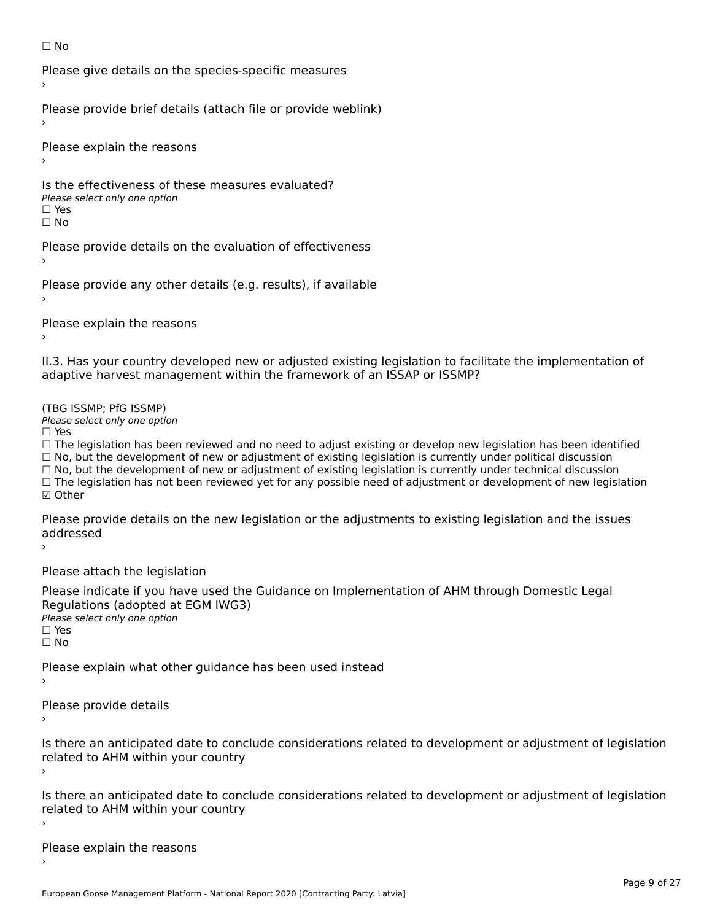#### ☐ No

Please give details on the species-specific measures

Please provide brief details (attach file or provide weblink)

Please explain the reasons

Is the effectiveness of these measures evaluated?□ CIC CILCCLIVENC55 OF C<br>Please select only one option □ Yes<br>□ No

Please provide details on the evaluation of effectiveness

Please provide any other details (e.g. results), if available

Please explain the reasons

II.3. Has your country developed new or adjusted existing legislation to facilitate the implementation of adaptive harvest management within the framework of an ISSAP or ISSMP?

(TBG ISSMP; PfG ISSMP)

Please select only one option ☐ Yes

 $\Box$  Yes

☐ The legislation has been reviewed and no need to adjust existing or develop new legislation has been identified  $\Box$  The regislation has been reviewed and no need to adjust existing or develop hew regislation has been identify and  $\Box$  No, but the development of new or adjustment of existing legislation is currently under political  $\Box$  No, but the development of new or adjustment of existing legislation is currently under technical discussion ☐ The legislation has not been reviewed yet for any possible need of adjustment or development of new legislation ☑ Other

Please provide details on the new legislation or the adjustments to existing legislation and the issues riease piu<br>seddressed ›

Please attach the legislation

Please indicate if you have used the Guidance on Implementation of AHM through Domestic Legal Regulations (adopted at EGM IWG3) ∩egalations (aaopted al.<br>Please select only one option □ Yes<br>□ No

Please explain what other guidance has been used instead

Please provide details

Is there an anticipated date to conclude considerations related to development or adjustment of legislation is there an anticipated date to control<br>related to AHM within your country

Is there an anticipated date to conclude considerations related to development or adjustment of legislation Proced to Arm within your country

Please explain the reasons›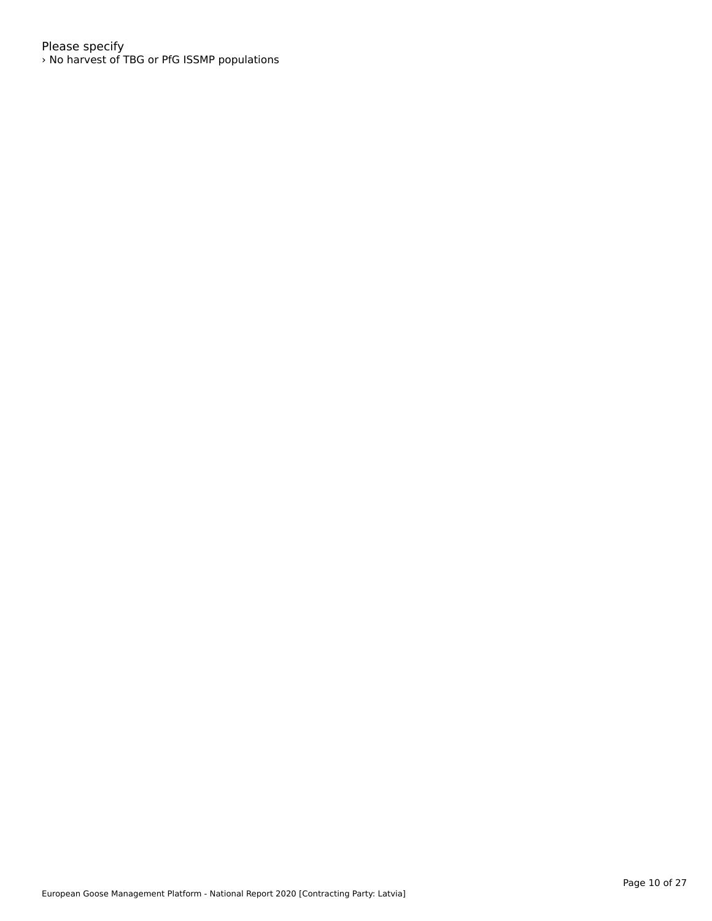Please specify › No harvest of TBG or PfG ISSMP populations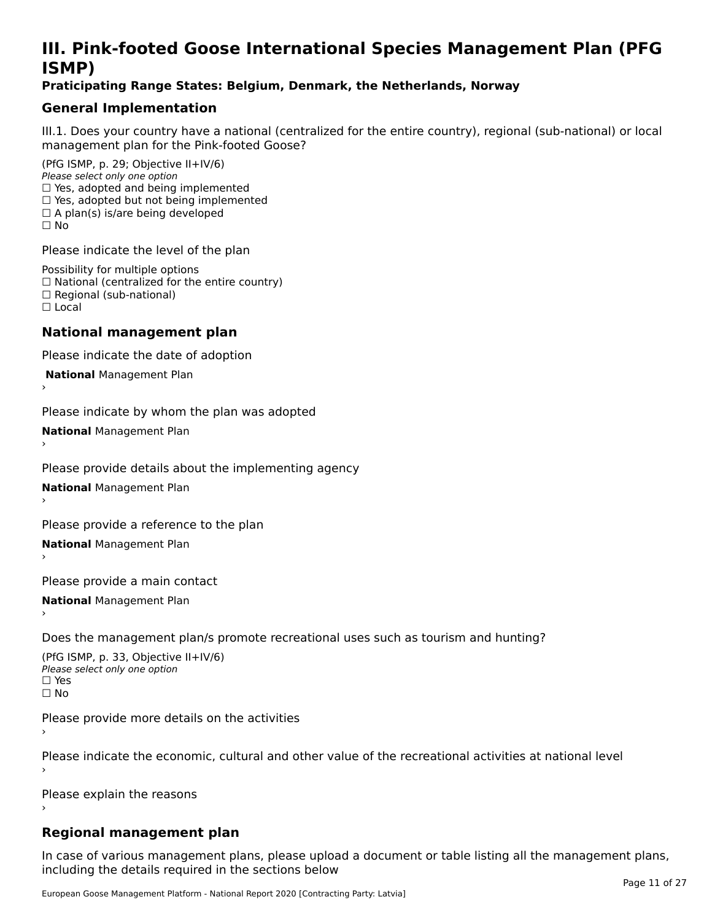# **III. Pink-footed Goose International Species Management Plan (PFG**III. FIIIN-IUULEU GUUSE IIILEI II**atiunai Species Management Fian (FTG**<br>ISMD)

#### **Praticipating Range States: Belgium, Denmark, the Netherlands, Norway**

## **General Implementation**

III.1. Does your country have a national (centralized for the entire country), regional (sub-national) or local

(PfG ISMP, p. 29; Objective II+IV/6) Please select only one option *riease select only one option*<br>□ Yes, adopted and being implemented  $\Box$  res, adopted and being implemented<br> $\Box$  Yes, adopted but not being implemented  $\Box$  A plan(s) is/are being developed ☐ No

Please indicate the level of the plan

Possibility for multiple options rossibility for multiple options<br>□ National (centralized for the entire country) □ National (centralized io<br>□ Regional (sub-national) ☐ Local

#### **National management plan**

Please indicate the date of adoption

 **National** Management Plan

›

Please indicate by whom the plan was adopted

**National** Management Plan ›

Please provide details about the implementing agency

**National** Management Plan ›

Please provide a reference to the plan

**National** Management Plan ›

Please provide a main contact

**National** Management Plan ›

Does the management plan/s promote recreational uses such as tourism and hunting?

(PfG ISMP, p. 33, Objective II+IV/6) Please select only one optionPlease select only one option  $\square$  Yes ☐ No

Please provide more details on the activities

Please indicate the economic, cultural and other value of the recreational activities at national level

Please explain the reasons

### **Regional management plan**

In case of various management plans, please upload a document or table listing all the management plans, $\frac{1}{2}$  case of various management plans, please uploa including the details required in the sections below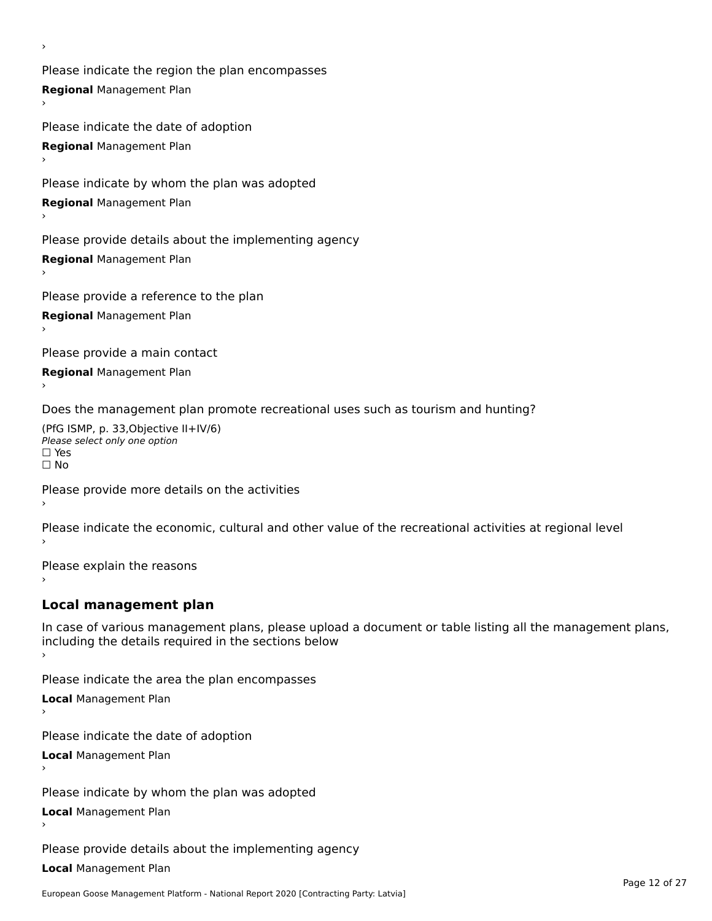Please indicate the region the plan encompasses **Regional** Management Plan

Please indicate the date of adoption **Regional** Management Plan ›

Please indicate by whom the plan was adopted

**Regional** Management Plan

›

Please provide details about the implementing agency

**Regional** Management Plan

Please provide a reference to the plan

**Regional** Management Plan

Please provide a main contact

**Regional** Management Plan

Does the management plan promote recreational uses such as tourism and hunting?

(PfG ISMP, p. 33,Objective II+IV/6) ∩∩ וויוכו פון<br>Please select only one option<br>□ Yes □ Yes<br>□ No

Please provide more details on the activities

Please indicate the economic, cultural and other value of the recreational activities at regional level

Please explain the reasons ›

### **Local management plan**

In case of various management plans, please upload a document or table listing all the management plans, In case of various management plans, please uploa<br>including the details required in the sections below

Please indicate the area the plan encompasses

**Local** Management Plan

Please indicate the date of adoption

**Local** Management Plan›

Please indicate by whom the plan was adopted

**Local** Management Plan

Please provide details about the implementing agency

**Local** Management Plan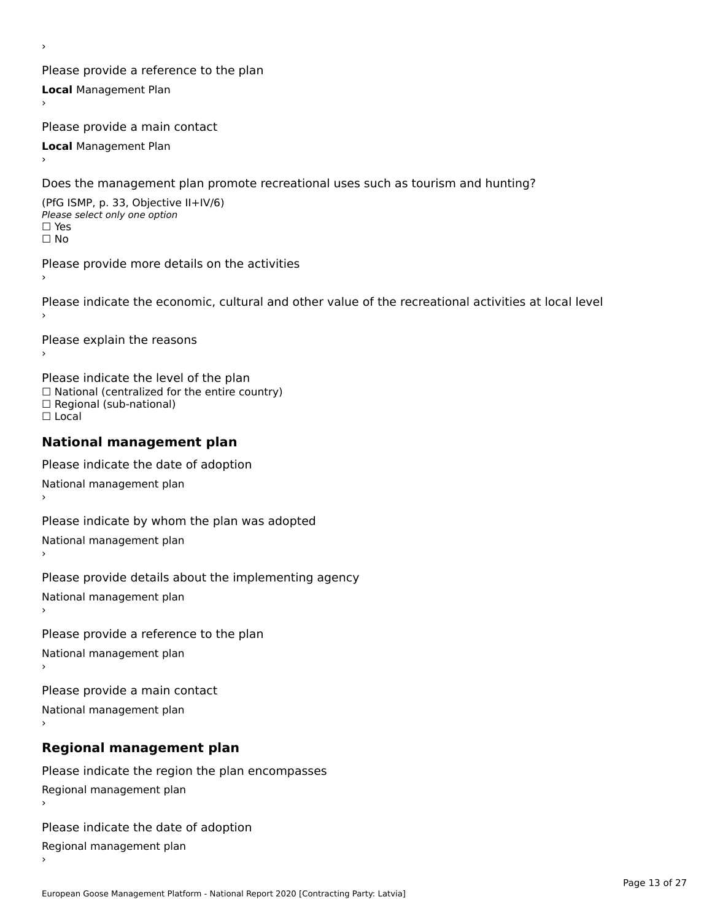Please provide a reference to the plan **Local** Management Plan

Please provide a main contact

**Local** Management Plan

›

Does the management plan promote recreational uses such as tourism and hunting?

(PfG ISMP, p. 33, Objective II+IV/6) Please select only one option☐ Yes☐ No

Please provide more details on the activities

Please indicate the economic, cultural and other value of the recreational activities at local level

Please explain the reasons ›

Please indicate the level of the plan ∩ease marcate the lever of the plan<br>□ National (centralized for the entire country) □ National (centralized io<br>□ Regional (sub-national) ☐ Local

#### **National management plan**

Please indicate the date of adoption National management plan

Please indicate by whom the plan was adopted

National management plan ›

Please provide details about the implementing agency

National management plan

Please provide a reference to the plan

National management plan

Please provide a main contact

National management plan

# **Regional management plan**

Please indicate the region the plan encompasses Regional management plan

Please indicate the date of adoption

Regional management plan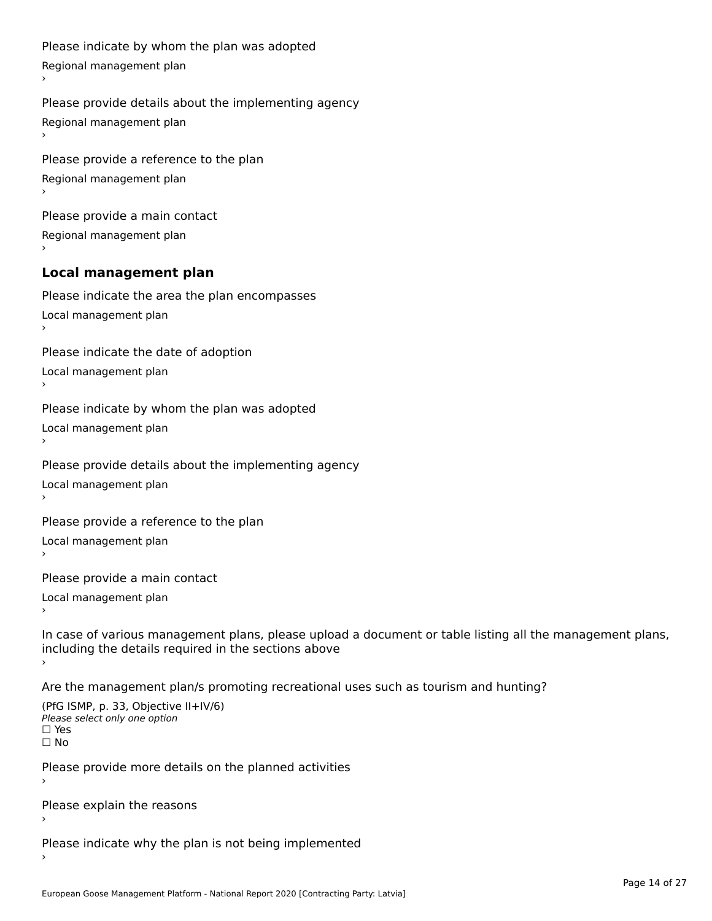```
Please indicate by whom the plan was adopted Regional management plan
Please provide details about the implementing agency Regional management plan
Please provide a reference to the plan Regional management plan
Please provide a main contact Regional management plan
Local management plan
Please indicate the area the plan encompasses Local management plan›Please indicate the date of adoption Local management plan١,
Please indicate by whom the plan was adopted Local management plan›Please provide details about the implementing agency Local management plan١,
Please provide a reference to the plan Local management plan›Please provide a main contact Local management plan١,
In case of various management plans, please upload a document or table listing all the management plans,in case or various management plans, please upload
including the details required in the sections above
Are the management plan/s promoting recreational uses such as tourism and hunting?
```

```
(PfG ISMP, p. 33, Objective II+IV/6)
Please select only one option☐ Yes☐ No
```
Please provide more details on the planned activities

Please explain the reasons›

Please indicate why the plan is not being implemented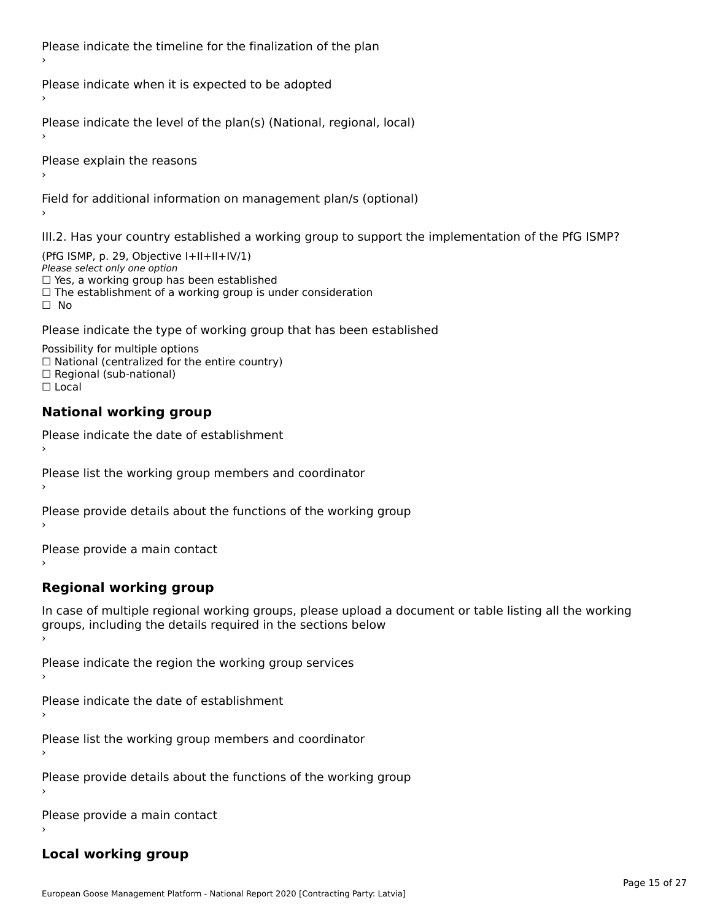Please indicate the timeline for the finalization of the plan

Please indicate when it is expected to be adopted

Please indicate the level of the plan(s) (National, regional, local)

Please explain the reasons

Field for additional information on management plan/s (optional)

III.2. Has your country established a working group to support the implementation of the PfG ISMP?

(PfG ISMP, p. 29, Objective  $I+II+II+IV/1$ ) Please select only one option □ Yes, a working group has been established □ Tes, a working group has been established<br>□ The establishment of a working group is under consideration

Please indicate the type of working group that has been established

Possibility for multiple options ™assibility for multiple options<br>□ National (centralized for the entire country) □ National (centralized io<br>□ Regional (sub-national)  $\Box$  Local

#### **National working group**

›

Please indicate the date of establishment

Please list the working group members and coordinator ›

Please provide details about the functions of the working group ›

Please provide a main contact ›

**Regional working group**

In case of multiple regional working groups, please upload a document or table listing all the working In case of multiple regional working groups, please upload a<br>groups, including the details required in the sections below

Please indicate the region the working group services ›

Please indicate the date of establishment ›

Please list the working group members and coordinator ›

Please provide details about the functions of the working group ›

Please provide a main contact ›

#### **Local working group**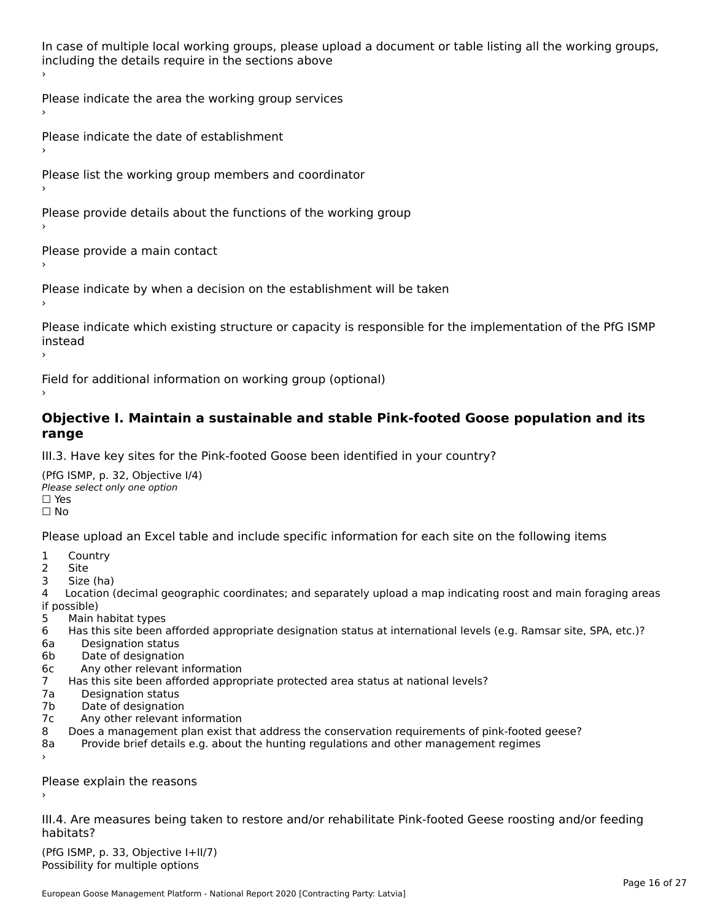In case of multiple local working groups, please upload a document or table listing all the working groups, including the details require in the sections above

Please indicate the area the working group services ›

Please indicate the date of establishment ›

Please list the working group members and coordinator ›

Please provide details about the functions of the working group ›

Please provide a main contact ›

Please indicate by when a decision on the establishment will be taken

Please indicate which existing structure or capacity is responsible for the implementation of the PfG ISMP instead ›

Field for additional information on working group (optional)

#### **Objective I. Maintain a sustainable and stable Pink-footed Goose population and its range**range

III.3. Have key sites for the Pink-footed Goose been identified in your country?

(PfG ISMP, p. 32, Objective I/4)Please select only one option ☐ Yes☐ No

Please upload an Excel table and include specific information for each site on the following items

- $1 \quad \alpha$
- 2 Site
- 2 Site<br>3 Size (ha)

د حدد una<br>4 Location (decimal geographic coordinates; and separately upload a map indicating roost and main foraging areas 4 Location<br>if possible)

- 5 Main habitat types
- 6 Has this site been afforded appropriate designation status at international levels (e.g. Ramsar site, SPA, etc.)? 6. Bestweetter status
- 6a Designation status<br>6b Date of designation
- 
- 6c Any other relevant information
- 7 Has this site been afforded appropriate protected area status at national levels? 7a Designation status
- 7a Designation status<br>7b Date of designation
- 
- 7c Any other relevant information
- 8 Does a management plan exist that address the conservation requirements of pink-footed geese?
- 8a Provide brief details e.g. about the hunting regulations and other management regimes ›

Please explain the reasons

III.4. Are measures being taken to restore and/or rehabilitate Pink-footed Geese roosting and/or feeding habitats?

 $(PCI GMP, p. 33, Qb)$  is the I+II/7) Possibility for multiple optionsPossibility for multiple options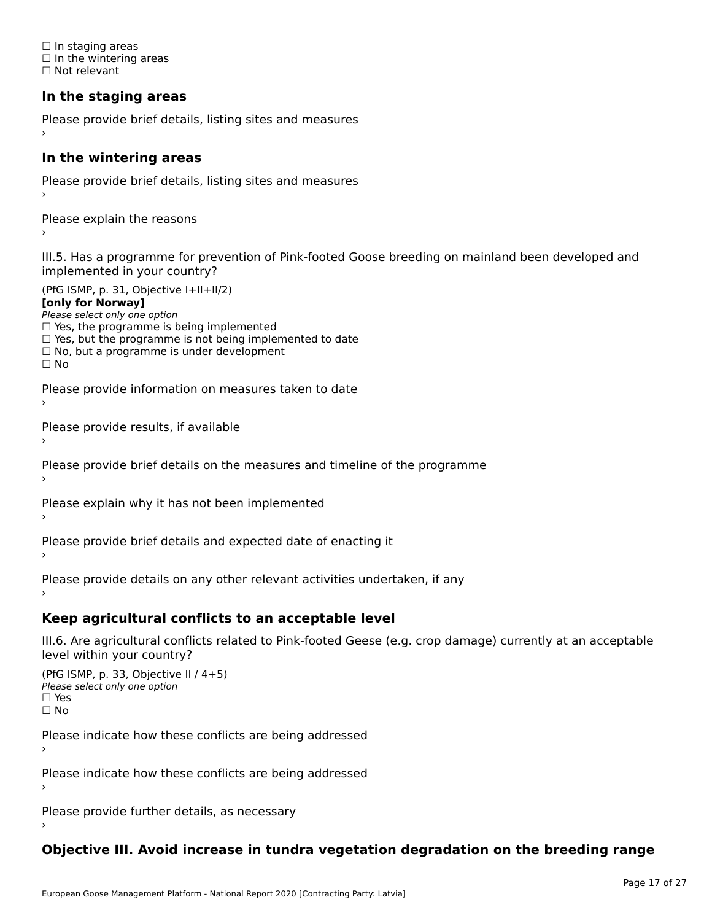☐ In staging areas □ in staging areas<br>□ In the wintering areas ☐ Not relevant

# **In the staging areas**

```
Please provide brief details, listing sites and measures ›
```
#### **In the wintering areas**

Please provide brief details, listing sites and measures ›

Please explain the reasons

III.5. Has a programme for prevention of Pink-footed Goose breeding on mainland been developed and implemented in your country?

(PfG ISMP, p. 31, Objective I+II+II/2)

**[only for Norway]**

Please select only one option riease select only one option<br>□ Yes, the programme is being implemented

 $\Box$  ies, the programme is being implemented to date  $\Box$  Yes, but the programme is not being implemented to date

 $\Box$  No, but a programme is under development

Please provide information on measures taken to date

Please provide results, if available

Please provide brief details on the measures and timeline of the programme

Please explain why it has not been implemented

Please provide brief details and expected date of enacting it

Please provide details on any other relevant activities undertaken, if any›

**Keep agricultural conflicts to an acceptable level**

III.6. Are agricultural conflicts related to Pink-footed Geese (e.g. crop damage) currently at an acceptable

```
(PfG ISMP, p. 33, Objective II (4+5))
Please select only one option
☐ Yes☐ No
```
Please indicate how these conflicts are being addressed

Please indicate how these conflicts are being addressed›

Please provide further details, as necessary ›

# **Objective III. Avoid increase in tundra vegetation degradation on the breeding range**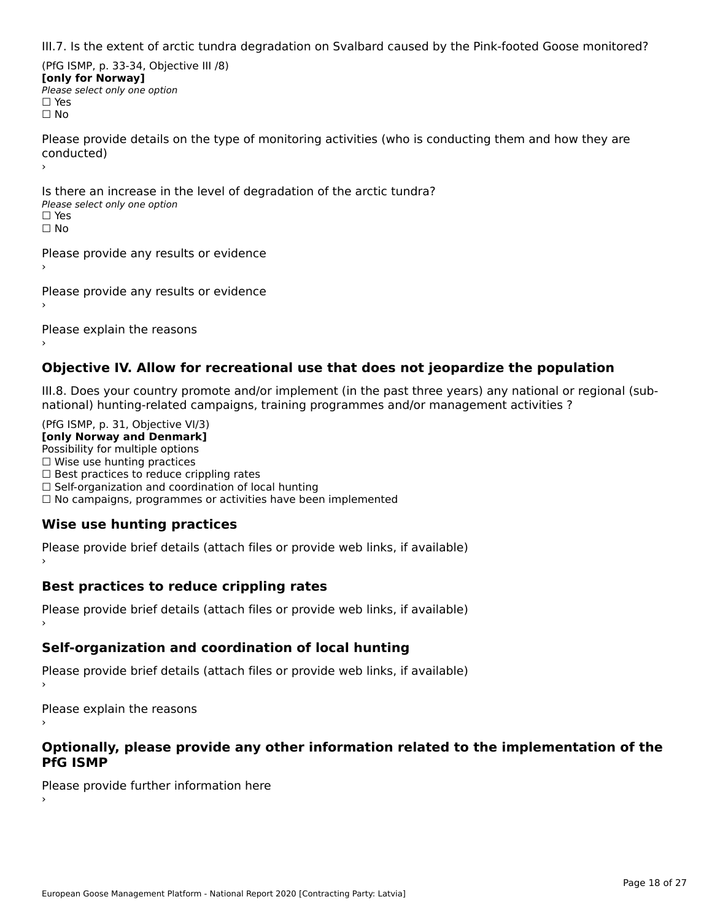III.7. Is the extent of arctic tundra degradation on Svalbard caused by the Pink-footed Goose monitored?

(PfG ISMP, p. 33-34, Objective III /8) **[only for Norway] Please select only one option** □ Yes<br>□ No

Please provide details on the type of monitoring activities (who is conducting them and how they are riease prov ›

Is there an increase in the level of degradation of the arctic tundra? □ CitCre dir increduce in c<br>Please select only one option □ Yes<br>□ No

Please provide any results or evidence

Please provide any results or evidence

Please explain the reasons

›

#### **Objective IV. Allow for recreational use that does not jeopardize the population**

III.8. Does your country promote and/or implement (in the past three years) any national or regional (sub $m.0.168$  your country promove and/or miplement (in the past time years) any national or

(PfG ISMP, p. 31, Objective VI/3) **[only Norway and Denmark]** Possibility for multiple options ☐ Wise use hunting practices  $\Box$  wise use numing practices<br> $\Box$  Best practices to reduce crippling rates □ Best practices to reduce crippinig rates<br>□ Self-organization and coordination of local hunting □ Sen-organization and coordination or local nunting<br>□ No campaigns, programmes or activities have been implemented

# **Wise use hunting practices**

Please provide brief details (attach files or provide web links, if available) ›

### **Best practices to reduce crippling rates**

Please provide brief details (attach files or provide web links, if available)

## **Self-organization and coordination of local hunting**

Please provide brief details (attach files or provide web links, if available)

Please explain the reasons

#### **Optionally, please provide any other information related to the implementation of the PfG ISMP**

Please provide further information here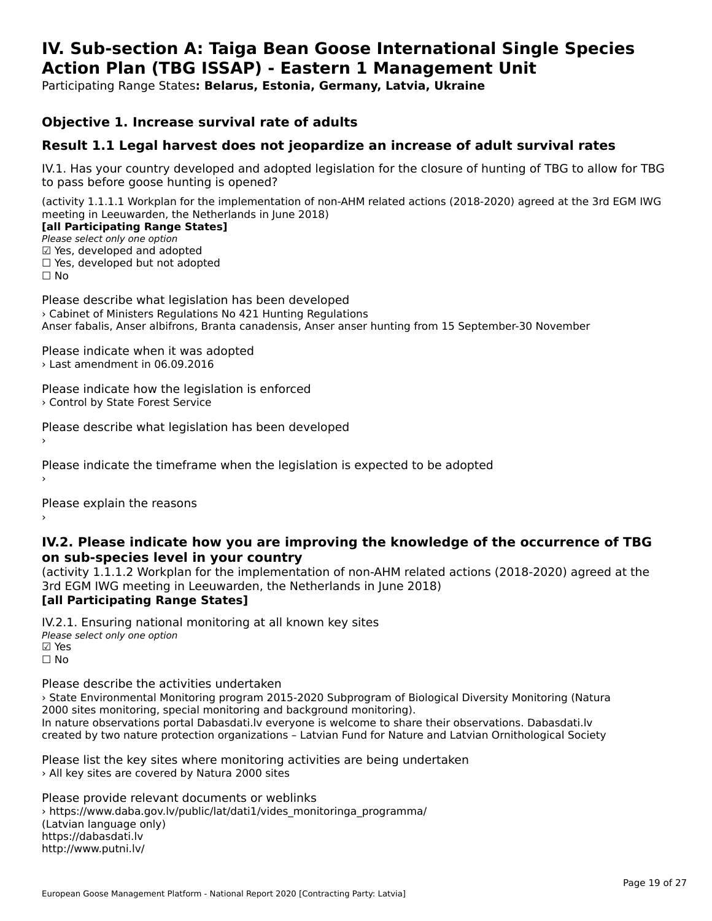#### **IV. Sub-section A: Taiga Bean Goose International Single Species Action Plan (TBG ISSAP) - Eastern 1 Management UnitAction Plan (TBG ISSAP) - Eastern 1 Management Unit**

Participating Range States**: Belarus, Estonia, Germany, Latvia, Ukraine** 

#### **Objective 1. Increase survival rate of adults**

### **Result 1.1 Legal harvest does not jeopardize an increase of adult survival rates**

IV.1. Has your country developed and adopted legislation for the closure of hunting of TBG to allow for TBG IV.1. Thas your country developed and add<br>to pass before goose hunting is opened?

(activity 1.1.1.1 Workplan for the implementation of non-AHM related actions (2018-2020) agreed at the 3rd EGM IWG meeting in Leeuwarden, the Netherlands in June 2018) **[all Participating Range States]**

[all Participating Range States]

Please select only one option ☑ Yes, developed and adopted ☐ Yes, developed but not adopted $\Box$  ies, developed but not adopted

Please describe what legislation has been developed › Cabinet of Ministers Regulations No 421 Hunting Regulations

Anser fabalis, Anser albifrons, Branta canadensis, Anser anser hunting from 15 September-30 November

Please indicate when it was adopted › Last amendment in 06.09.2016

Please indicate how the legislation is enforced › Control by State Forest Service

Please describe what legislation has been developed

Please indicate the timeframe when the legislation is expected to be adopted

Please explain the reasons

**IV.2. Please indicate how you are improving the knowledge of the occurrence of TBG on sub-species level in your country**on sub-species level in your country

on sub-species fever in your country<br>(activity 1.1.1.2 Workplan for the implementation of non-AHM related actions (2018-2020) agreed at the **[all Participating Range States]**

IV.2.1. Ensuring national monitoring at all known key sites Please select only one option ☑ Yes☐ No

Please describe the activities undertaken

› State Environmental Monitoring program 2015-2020 Subprogram of Biological Diversity Monitoring (Natura 2000 sites monitoring, special monitoring and background monitoring). zood sites monitoning, special monitoning and background monitoning).<br>In nature observations portal Dabasdati.lv everyone is welcome to share their observations. Dabasdati.lv created by two nature protection organizations – Latvian Fund for Nature and Latvian Ornithological Society

Please list the key sites where monitoring activities are being undertaken > All key sites are covered by Natura 2000 sites

Please provide relevant documents or weblinks ricuse provide relevant documents or webmiks<br>> https://www.daba.gov.lv/public/lat/dati1/vides\_monitoringa\_programma/ (Latvian language only) https://dabasdati.lv http://www.putni.lv/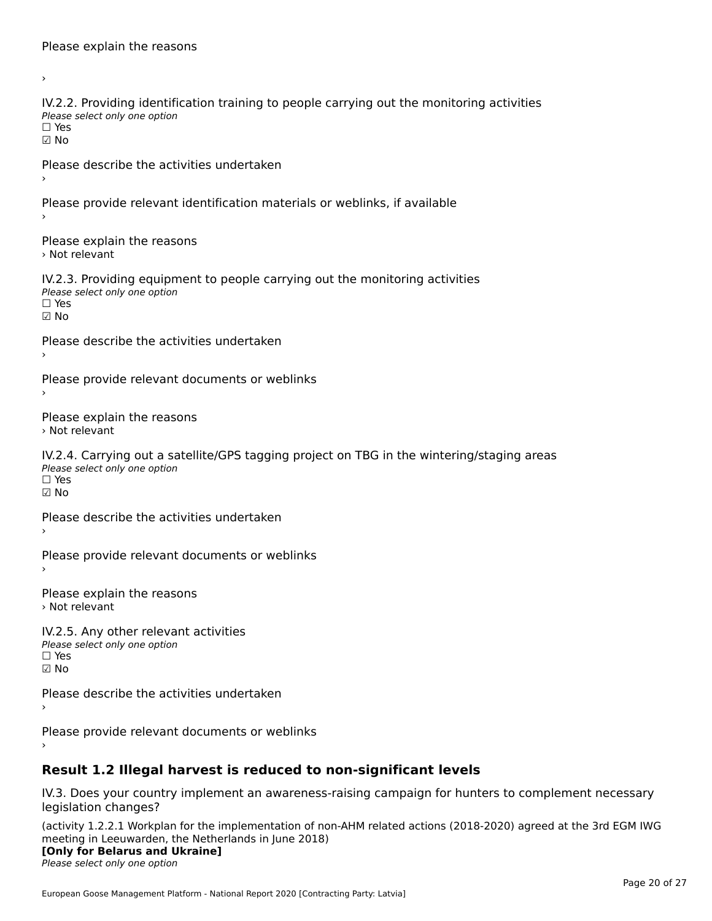›IV.2.2. Providing identification training to people carrying out the monitoring activities TWETE: THOMAING REFILITION<br>Please select only one option ☑ NoPlease describe the activities undertaken Please provide relevant identification materials or weblinks, if available Please explain the reasons › Not relevantIV.2.3. Providing equipment to people carrying out the monitoring activities Please select only one option ☐ Yes☑ NoPlease describe the activities undertaken Please provide relevant documents or weblinks Please explain the reasons › Not relevantIV.2.4. Carrying out a satellite/GPS tagging project on TBG in the wintering/staging areas rv.2.4. Carrying out a sc<br>Please select only one option ☐ Yes☑ NoPlease describe the activities undertaken Please provide relevant documents or weblinks Please explain the reasons › Not relevantIV.2.5. Any other relevant activities Please select only one option ☐ Yes $\Box$  Yes ☑ NoPlease describe the activities undertaken Please provide relevant documents or weblinks

# **Result 1.2 Illegal harvest is reduced to non-significant levels**

IV.3. Does your country implement an awareness-raising campaign for hunters to complement necessary legislation changes?

(activity 1.2.2.1 Workplan for the implementation of non-AHM related actions (2018-2020) agreed at the 3rd EGM IWG meeting in Leeuwarden, the Netherlands in June 2018)

### **[Only for Belarus and Ukraine]**

Please select only one option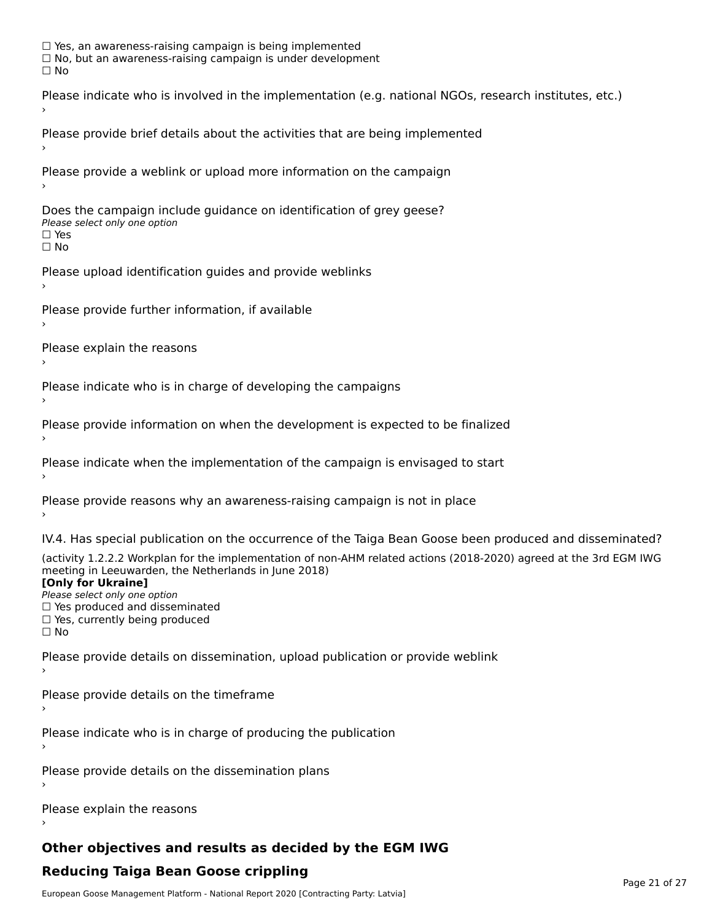☐ Yes, an awareness-raising campaign is being implemented □ Tes, an awareness-raising campaign is being implemented<br>□ No, but an awareness-raising campaign is under development Please indicate who is involved in the implementation (e.g. national NGOs, research institutes, etc.) Please provide brief details about the activities that are being implemented Please provide a weblink or upload more information on the campaign Does the campaign include guidance on identification of grey geese? **DOCS THE CAMPATSH THE**<br>Please select only one option □ Yes<br>□ No Please upload identification guides and provide weblinks Please provide further information, if available Please explain the reasons Please indicate who is in charge of developing the campaigns Please provide information on when the development is expected to be finalized Please indicate when the implementation of the campaign is envisaged to start Please provide reasons why an awareness-raising campaign is not in place IV.4. Has special publication on the occurrence of the Taiga Bean Goose been produced and disseminated? (activity 1.2.2.2 Workplan for the implementation of non-AHM related actions (2018-2020) agreed at the 3rd EGM IWG meeting in Leeuwarden, the Netherlands in June 2018) **[Only for Ukraine]**[Only for Ukraine] **LOTTLY TOT ONTAILLET**<br>Please select only one option *Please select only one option*<br>□ Yes produced and disseminated □ Tes produced and dissemmate<br>□ Yes, currently being produced Please provide details on dissemination, upload publication or provide weblink Please provide details on the timeframe Please indicate who is in charge of producing the publication Please provide details on the dissemination plans Please explain the reasons

# **Other objectives and results as decided by the EGM IWG**

# **Reducing Taiga Bean Goose crippling**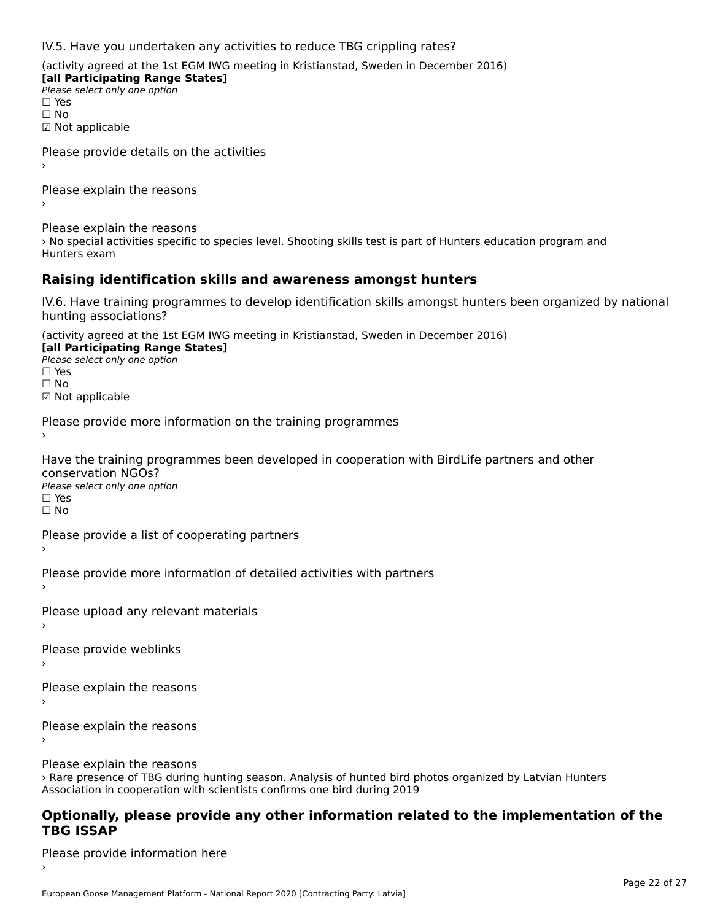IV.5. Have you undertaken any activities to reduce TBG crippling rates?

(activity agreed at the 1st EGM IWG meeting in Kristianstad, Sweden in December 2016)

**[all Participating Range States] Please select only one option** □ Yes<br>□ No ☑ Not applicable

Please provide details on the activities

Please explain the reasons›

Please explain the reasons

riedse explain the redsons<br>> No special activities specific to species level. Shooting skills test is part of Hunters education program and

### **Raising identification skills and awareness amongst hunters**

IV.6. Have training programmes to develop identification skills amongst hunters been organized by national hunting associations?

(activity agreed at the 1st EGM IWG meeting in Kristianstad, Sweden in December 2016)

**[all Participating Range States] Law Tarticipating Range**<br>Please select only one option □ Yes<br>□ No

☑ Not applicable

Please provide more information on the training programmes

Have the training programmes been developed in cooperation with BirdLife partners and other conservation NGOs? Please select only one option ☐ Yes☐ No

Please provide a list of cooperating partners

Please provide more information of detailed activities with partners

Please upload any relevant materials

Please provide weblinks

Please explain the reasons

Please explain the reasons

›

Please explain the reasons

› Rare presence of TBG during hunting season. Analysis of hunted bird photos organized by Latvian Hunters A Kare presence or TBG during numing season. Analysis or numed bird p<br>Association in cooperation with scientists confirms one bird during 2019

#### **Optionally, please provide any other information related to the implementation of the TBG ISSAP**

Please provide information here›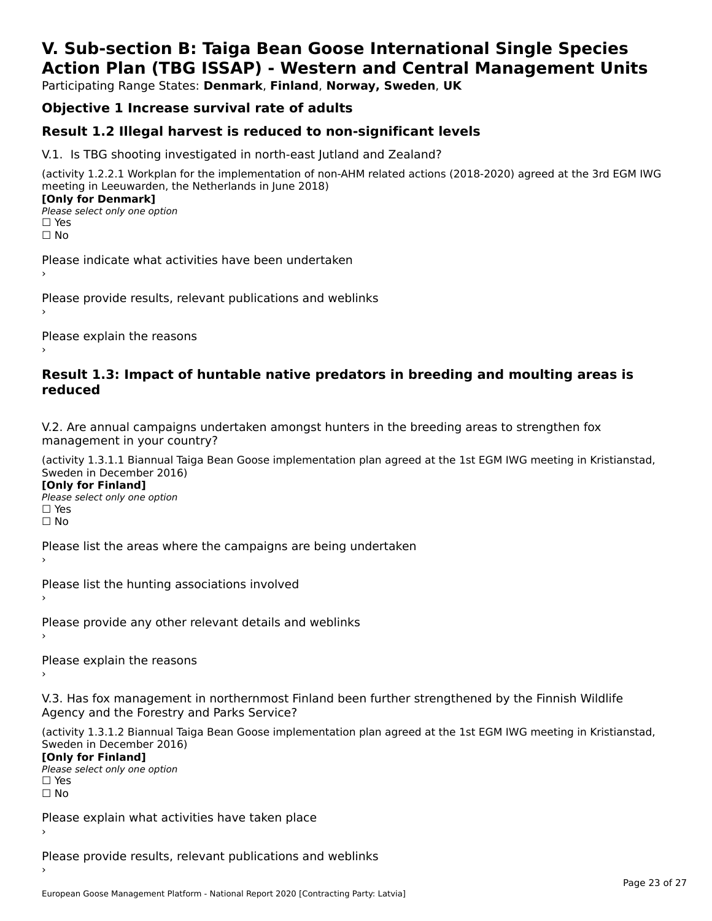# **V. Sub-section B: Taiga Bean Goose International Single SpeciesAction Plan (TBG ISSAP) - Western and Central Management Units**

Participating Range States: **Denmark**, **Finland**, **Norway, Sweden**, **UK**

# **Objective 1 Increase survival rate of adults**

### **Result 1.2 Illegal harvest is reduced to non-significant levels**

V.1. Is TBG shooting investigated in north-east Jutland and Zealand?

(activity 1.2.2.1 Workplan for the implementation of non-AHM related actions (2018-2020) agreed at the 3rd EGM IWG meeting in Leeuwarden, the Netherlands in June 2018) **[Only for Denmark] LOTTLY TOT DETITIONS**<br>Please select only one option

*riease*<br>□ Yes<br>□ No

Please indicate what activities have been undertaken›

Please provide results, relevant publications and weblinks ›

Please explain the reasons

#### **Result 1.3: Impact of huntable native predators in breeding and moulting areas is reduced**

V.2. Are annual campaigns undertaken amongst hunters in the breeding areas to strengthen fox v.z. Are annual campaigns und<br>management in your country?

(activity 1.3.1.1 Biannual Taiga Bean Goose implementation plan agreed at the 1st EGM IWG meeting in Kristianstad, Sweden in December 2016)

**[Only for Finland]** Please select only one optionriease<br>□ Yes ים וכ<br>⊡ No

Please list the areas where the campaigns are being undertaken

Please list the hunting associations involved

Please provide any other relevant details and weblinks ›

Please explain the reasons›

V.3. Has fox management in northernmost Finland been further strengthened by the Finnish Wildlife v.5. Has fox management in northernmost F<br>Agency and the Forestry and Parks Service?

(activity 1.3.1.2 Biannual Taiga Bean Goose implementation plan agreed at the 1st EGM IWG meeting in Kristianstad, Sweden in December 2016) Sweden in December 2016)

[Only for Finland]

**Please select only one option** □ Yes<br>□ No

Please explain what activities have taken place

Please provide results, relevant publications and weblinks ›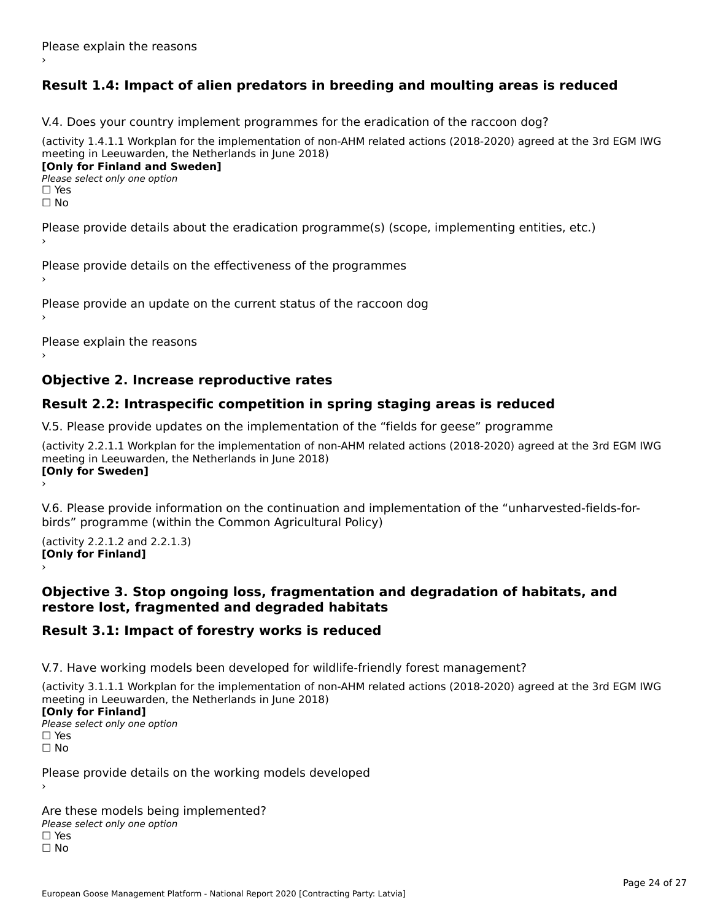# **Result 1.4: Impact of alien predators in breeding and moulting areas is reduced**

V.4. Does your country implement programmes for the eradication of the raccoon dog?

(activity 1.4.1.1 Workplan for the implementation of non-AHM related actions (2018-2020) agreed at the 3rd EGM IWG meeting in Leeuwarden, the Netherlands in June 2018) **[Only for Finland and Sweden]**

**Please select only one option** 

□ Yes<br>□ No

Please provide details about the eradication programme(s) (scope, implementing entities, etc.)

Please provide details on the effectiveness of the programmes

Please provide an update on the current status of the raccoon dog

Please explain the reasons

### **Objective 2. Increase reproductive rates**

### **Result 2.2: Intraspecific competition in spring staging areas is reduced**

V.5. Please provide updates on the implementation of the "fields for geese" programme

(activity 2.2.1.1 Workplan for the implementation of non-AHM related actions (2018-2020) agreed at the 3rd EGM IWG meeting in Leeuwarden, the Netherlands in June 2018) Loury for Swedent

V.6. Please provide information on the continuation and implementation of the "unharvested-fields-forbirds" programme (within the Common Agricultural Policy)birds" programme (within the Common Agricultural Policy)

(activity 2.2.1.2 and 2.2.1.3) **[Only for Finland]** ›

#### **Objective 3. Stop ongoing loss, fragmentation and degradation of habitats, and restore lost, fragmented and degraded habitats**

### **Result 3.1: Impact of forestry works is reduced**

V.7. Have working models been developed for wildlife-friendly forest management?

(activity 3.1.1.1 Workplan for the implementation of non-AHM related actions (2018-2020) agreed at the 3rd EGM IWG meeting in Leeuwarden, the Netherlands in June 2018)

#### **[Only for Finland]**

**Please select only one option** □ Yes<br>□ No

Please provide details on the working models developed

Are these models being implemented? ∩ne enese moders being<br>Please select only one option □ Yes<br>□ No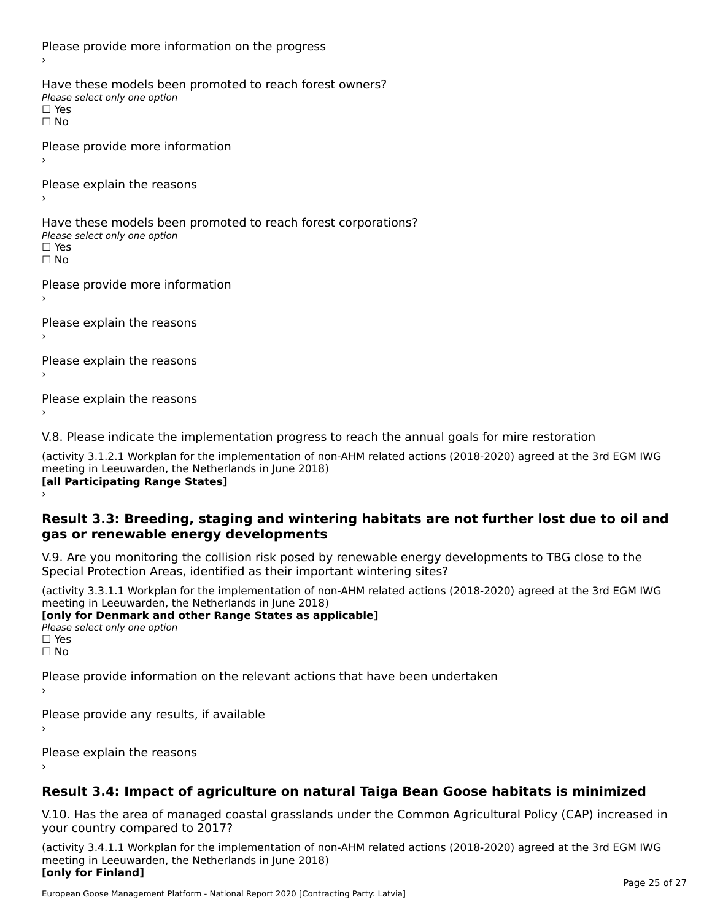Please provide more information on the progress Have these models been promoted to reach forest owners? ∩ave these models bee<br>Please select only one option □ Yes<br>□ No Please provide more information Please explain the reasons ›Have these models been promoted to reach forest corporations? ∩ave these models bee<br>Please select only one option □ Yes<br>□ No Please provide more information Please explain the reasons ›Please explain the reasons›Please explain the reasons›

V.8. Please indicate the implementation progress to reach the annual goals for mire restoration

(activity 3.1.2.1 Workplan for the implementation of non-AHM related actions (2018-2020) agreed at the 3rd EGM IWG meeting in Leeuwarden, the Netherlands in June 2018) **[all Participating Range States]** ›

**Result 3.3: Breeding, staging and wintering habitats are not further lost due to oil and gas or renewable energy developments**gas or renewable energy developments

V.9. Are you monitoring the collision risk posed by renewable energy developments to TBG close to the Special Protection Areas, identified as their important wintering sites?

(activity 3.3.1.1 Workplan for the implementation of non-AHM related actions (2018-2020) agreed at the 3rd EGM IWG meeting in Leeuwarden, the Netherlands in June 2018) **[only for Denmark and other Range States as applicable]**

```
Please select only one option
□ Yes<br>□ No
```
Please provide information on the relevant actions that have been undertaken ›

Please provide any results, if available

Please explain the reasons

# **Result 3.4: Impact of agriculture on natural Taiga Bean Goose habitats is minimized**

V.10. Has the area of managed coastal grasslands under the Common Agricultural Policy (CAP) increased in

(activity 3.4.1.1 Workplan for the implementation of non-AHM related actions (2018-2020) agreed at the 3rd EGM IWG meeting in Leeuwarden, the Netherlands in June 2018) **[only for Finland]**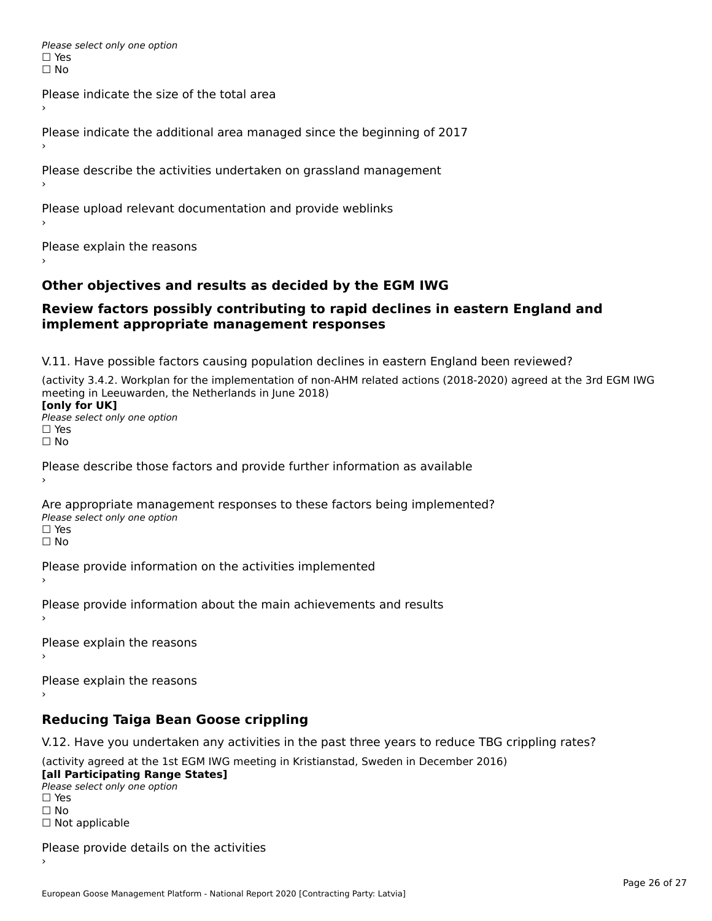Please select only one option □ Yes<br>□ No

Please indicate the size of the total area›

Please indicate the additional area managed since the beginning of 2017

Please describe the activities undertaken on grassland management

Please upload relevant documentation and provide weblinks

Please explain the reasons

### **Other objectives and results as decided by the EGM IWG**

#### **Review factors possibly contributing to rapid declines in eastern England and implement appropriate management responses**implement appropriate management responses

V.11. Have possible factors causing population declines in eastern England been reviewed?

(activity 3.4.2. Workplan for the implementation of non-AHM related actions (2018-2020) agreed at the 3rd EGM IWG meeting in Leeuwarden, the Netherlands in June 2018)<br>**[only for UK]** 

**∐omy for OR**<br>Please select only one option □ Yes<br>□ No

Please describe those factors and provide further information as available

Are appropriate management responses to these factors being implemented? Please select only one option ים<br>⊡ No

Please provide information on the activities implemented

Please provide information about the main achievements and results›

Please explain the reasons

Please explain the reasons

**Reducing Taiga Bean Goose crippling**

V.12. Have you undertaken any activities in the past three years to reduce TBG crippling rates?

(activity agreed at the 1st EGM IWG meeting in Kristianstad, Sweden in December 2016) **[all Participating Range States]**

[all Participating Range States] Please select only one option☐ Yesים<br>⊡ No □ Not applicable

Please provide details on the activities